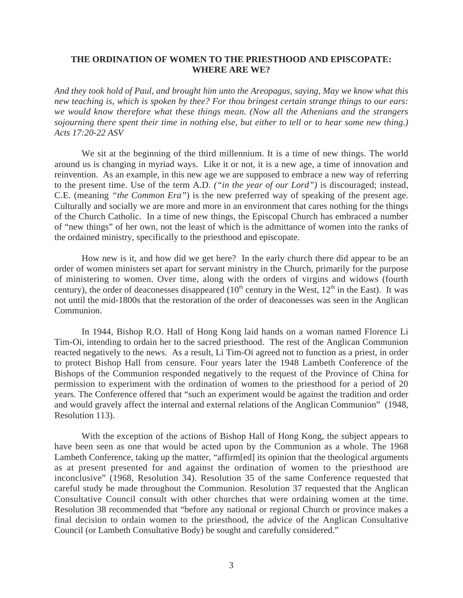# **THE ORDINATION OF WOMEN TO THE PRIESTHOOD AND EPISCOPATE: WHERE ARE WE?**

*And they took hold of Paul, and brought him unto the Areopagus, saying, May we know what this new teaching is, which is spoken by thee? For thou bringest certain strange things to our ears: we would know therefore what these things mean. (Now all the Athenians and the strangers sojourning there spent their time in nothing else, but either to tell or to hear some new thing.) Acts 17:20-22 ASV*

We sit at the beginning of the third millennium. It is a time of new things. The world around us is changing in myriad ways. Like it or not, it is a new age, a time of innovation and reinvention. As an example, in this new age we are supposed to embrace a new way of referring to the present time. Use of the term A.D. *("in the year of our Lord")* is discouraged; instead, C.E. (meaning *"the Common Era"*) is the new preferred way of speaking of the present age. Culturally and socially we are more and more in an environment that cares nothing for the things of the Church Catholic. In a time of new things, the Episcopal Church has embraced a number of "new things" of her own, not the least of which is the admittance of women into the ranks of the ordained ministry, specifically to the priesthood and episcopate.

How new is it, and how did we get here? In the early church there did appear to be an order of women ministers set apart for servant ministry in the Church, primarily for the purpose of ministering to women. Over time, along with the orders of virgins and widows (fourth century), the order of deaconesses disappeared ( $10<sup>th</sup>$  century in the West,  $12<sup>th</sup>$  in the East). It was not until the mid-1800s that the restoration of the order of deaconesses was seen in the Anglican Communion.

In 1944, Bishop R.O. Hall of Hong Kong laid hands on a woman named Florence Li Tim-Oi, intending to ordain her to the sacred priesthood. The rest of the Anglican Communion reacted negatively to the news. As a result, Li Tim-Oi agreed not to function as a priest, in order to protect Bishop Hall from censure. Four years later the 1948 Lambeth Conference of the Bishops of the Communion responded negatively to the request of the Province of China for permission to experiment with the ordination of women to the priesthood for a period of 20 years. The Conference offered that "such an experiment would be against the tradition and order and would gravely affect the internal and external relations of the Anglican Communion" (1948, Resolution 113).

With the exception of the actions of Bishop Hall of Hong Kong, the subject appears to have been seen as one that would be acted upon by the Communion as a whole. The 1968 Lambeth Conference, taking up the matter, "affirm[ed] its opinion that the theological arguments as at present presented for and against the ordination of women to the priesthood are inconclusive" (1968, Resolution 34). Resolution 35 of the same Conference requested that careful study be made throughout the Communion. Resolution 37 requested that the Anglican Consultative Council consult with other churches that were ordaining women at the time. Resolution 38 recommended that "before any national or regional Church or province makes a final decision to ordain women to the priesthood, the advice of the Anglican Consultative Council (or Lambeth Consultative Body) be sought and carefully considered."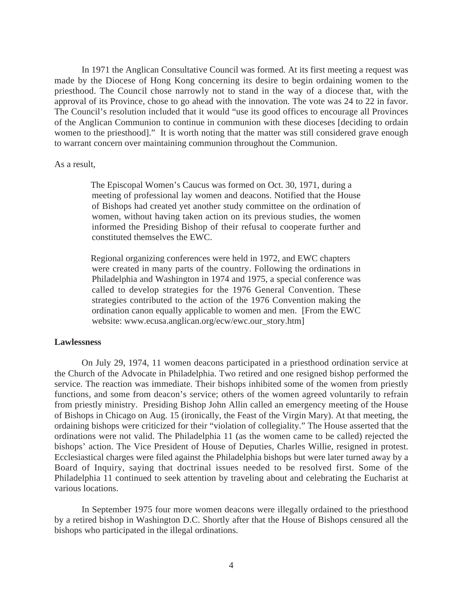In 1971 the Anglican Consultative Council was formed. At its first meeting a request was made by the Diocese of Hong Kong concerning its desire to begin ordaining women to the priesthood. The Council chose narrowly not to stand in the way of a diocese that, with the approval of its Province, chose to go ahead with the innovation. The vote was 24 to 22 in favor. The Council's resolution included that it would "use its good offices to encourage all Provinces of the Anglican Communion to continue in communion with these dioceses [deciding to ordain women to the priesthood]." It is worth noting that the matter was still considered grave enough to warrant concern over maintaining communion throughout the Communion.

## As a result,

 The Episcopal Women's Caucus was formed on Oct. 30, 1971, during a meeting of professional lay women and deacons. Notified that the House of Bishops had created yet another study committee on the ordination of women, without having taken action on its previous studies, the women informed the Presiding Bishop of their refusal to cooperate further and constituted themselves the EWC.

 Regional organizing conferences were held in 1972, and EWC chapters were created in many parts of the country. Following the ordinations in Philadelphia and Washington in 1974 and 1975, a special conference was called to develop strategies for the 1976 General Convention. These strategies contributed to the action of the 1976 Convention making the ordination canon equally applicable to women and men. [From the EWC website: www.ecusa.anglican.org/ecw/ewc.our\_story.htm]

## **Lawlessness**

On July 29, 1974, 11 women deacons participated in a priesthood ordination service at the Church of the Advocate in Philadelphia. Two retired and one resigned bishop performed the service. The reaction was immediate. Their bishops inhibited some of the women from priestly functions, and some from deacon's service; others of the women agreed voluntarily to refrain from priestly ministry. Presiding Bishop John Allin called an emergency meeting of the House of Bishops in Chicago on Aug. 15 (ironically, the Feast of the Virgin Mary). At that meeting, the ordaining bishops were criticized for their "violation of collegiality." The House asserted that the ordinations were not valid. The Philadelphia 11 (as the women came to be called) rejected the bishops' action. The Vice President of House of Deputies, Charles Willie, resigned in protest. Ecclesiastical charges were filed against the Philadelphia bishops but were later turned away by a Board of Inquiry, saying that doctrinal issues needed to be resolved first. Some of the Philadelphia 11 continued to seek attention by traveling about and celebrating the Eucharist at various locations.

In September 1975 four more women deacons were illegally ordained to the priesthood by a retired bishop in Washington D.C. Shortly after that the House of Bishops censured all the bishops who participated in the illegal ordinations.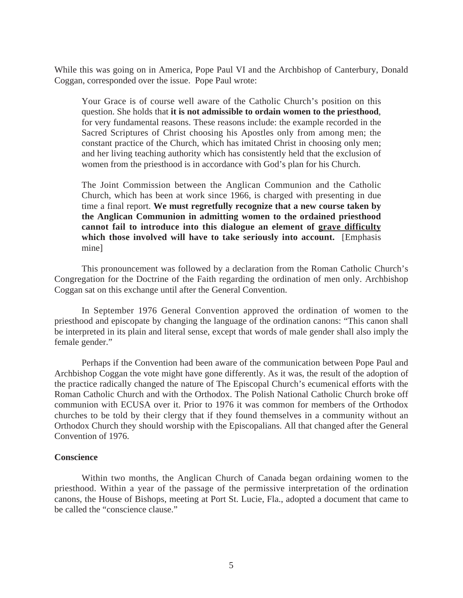While this was going on in America, Pope Paul VI and the Archbishop of Canterbury, Donald Coggan, corresponded over the issue. Pope Paul wrote:

Your Grace is of course well aware of the Catholic Church's position on this question. She holds that **it is not admissible to ordain women to the priesthood**, for very fundamental reasons. These reasons include: the example recorded in the Sacred Scriptures of Christ choosing his Apostles only from among men; the constant practice of the Church, which has imitated Christ in choosing only men; and her living teaching authority which has consistently held that the exclusion of women from the priesthood is in accordance with God's plan for his Church.

The Joint Commission between the Anglican Communion and the Catholic Church, which has been at work since 1966, is charged with presenting in due time a final report. **We must regretfully recognize that a new course taken by the Anglican Communion in admitting women to the ordained priesthood cannot fail to introduce into this dialogue an element of grave difficulty which those involved will have to take seriously into account.** [Emphasis mine]

This pronouncement was followed by a declaration from the Roman Catholic Church's Congregation for the Doctrine of the Faith regarding the ordination of men only. Archbishop Coggan sat on this exchange until after the General Convention.

In September 1976 General Convention approved the ordination of women to the priesthood and episcopate by changing the language of the ordination canons: "This canon shall be interpreted in its plain and literal sense, except that words of male gender shall also imply the female gender."

Perhaps if the Convention had been aware of the communication between Pope Paul and Archbishop Coggan the vote might have gone differently. As it was, the result of the adoption of the practice radically changed the nature of The Episcopal Church's ecumenical efforts with the Roman Catholic Church and with the Orthodox. The Polish National Catholic Church broke off communion with ECUSA over it. Prior to 1976 it was common for members of the Orthodox churches to be told by their clergy that if they found themselves in a community without an Orthodox Church they should worship with the Episcopalians. All that changed after the General Convention of 1976.

## **Conscience**

Within two months, the Anglican Church of Canada began ordaining women to the priesthood. Within a year of the passage of the permissive interpretation of the ordination canons, the House of Bishops, meeting at Port St. Lucie, Fla., adopted a document that came to be called the "conscience clause."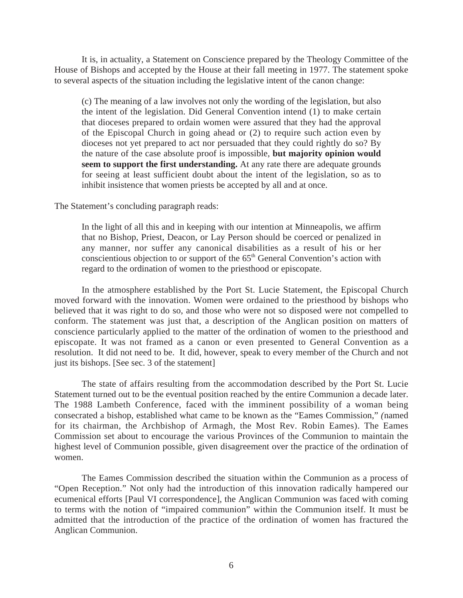It is, in actuality, a Statement on Conscience prepared by the Theology Committee of the House of Bishops and accepted by the House at their fall meeting in 1977. The statement spoke to several aspects of the situation including the legislative intent of the canon change:

(c) The meaning of a law involves not only the wording of the legislation, but also the intent of the legislation. Did General Convention intend (1) to make certain that dioceses prepared to ordain women were assured that they had the approval of the Episcopal Church in going ahead or (2) to require such action even by dioceses not yet prepared to act nor persuaded that they could rightly do so? By the nature of the case absolute proof is impossible, **but majority opinion would seem to support the first understanding.** At any rate there are adequate grounds for seeing at least sufficient doubt about the intent of the legislation, so as to inhibit insistence that women priests be accepted by all and at once.

The Statement's concluding paragraph reads:

In the light of all this and in keeping with our intention at Minneapolis, we affirm that no Bishop, Priest, Deacon, or Lay Person should be coerced or penalized in any manner, nor suffer any canonical disabilities as a result of his or her conscientious objection to or support of the  $65<sup>th</sup>$  General Convention's action with regard to the ordination of women to the priesthood or episcopate.

In the atmosphere established by the Port St. Lucie Statement, the Episcopal Church moved forward with the innovation. Women were ordained to the priesthood by bishops who believed that it was right to do so, and those who were not so disposed were not compelled to conform. The statement was just that, a description of the Anglican position on matters of conscience particularly applied to the matter of the ordination of women to the priesthood and episcopate. It was not framed as a canon or even presented to General Convention as a resolution. It did not need to be. It did, however, speak to every member of the Church and not just its bishops. [See sec. 3 of the statement]

The state of affairs resulting from the accommodation described by the Port St. Lucie Statement turned out to be the eventual position reached by the entire Communion a decade later. The 1988 Lambeth Conference, faced with the imminent possibility of a woman being consecrated a bishop, established what came to be known as the "Eames Commission," *(*named for its chairman, the Archbishop of Armagh, the Most Rev. Robin Eames). The Eames Commission set about to encourage the various Provinces of the Communion to maintain the highest level of Communion possible, given disagreement over the practice of the ordination of women.

The Eames Commission described the situation within the Communion as a process of "Open Reception." Not only had the introduction of this innovation radically hampered our ecumenical efforts [Paul VI correspondence], the Anglican Communion was faced with coming to terms with the notion of "impaired communion" within the Communion itself. It must be admitted that the introduction of the practice of the ordination of women has fractured the Anglican Communion.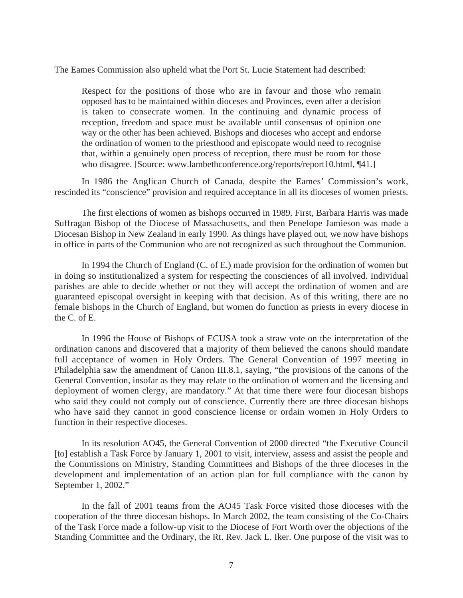The Eames Commission also upheld what the Port St. Lucie Statement had described:

Respect for the positions of those who are in favour and those who remain opposed has to be maintained within dioceses and Provinces, even after a decision is taken to consecrate women. In the continuing and dynamic process of reception, freedom and space must be available until consensus of opinion one way or the other has been achieved. Bishops and dioceses who accept and endorse the ordination of women to the priesthood and episcopate would need to recognise that, within a genuinely open process of reception, there must be room for those who disagree. [Source: www.lambethconference.org/reports/report10.html, [41.]

In 1986 the Anglican Church of Canada, despite the Eames' Commission's work, rescinded its "conscience" provision and required acceptance in all its dioceses of women priests.

The first elections of women as bishops occurred in 1989. First, Barbara Harris was made Suffragan Bishop of the Diocese of Massachusetts, and then Penelope Jamieson was made a Diocesan Bishop in New Zealand in early 1990. As things have played out, we now have bishops in office in parts of the Communion who are not recognized as such throughout the Communion.

In 1994 the Church of England (C. of E.) made provision for the ordination of women but in doing so institutionalized a system for respecting the consciences of all involved. Individual parishes are able to decide whether or not they will accept the ordination of women and are guaranteed episcopal oversight in keeping with that decision. As of this writing, there are no female bishops in the Church of England, but women do function as priests in every diocese in the C. of E.

In 1996 the House of Bishops of ECUSA took a straw vote on the interpretation of the ordination canons and discovered that a majority of them believed the canons should mandate full acceptance of women in Holy Orders. The General Convention of 1997 meeting in Philadelphia saw the amendment of Canon III.8.1, saying, "the provisions of the canons of the General Convention, insofar as they may relate to the ordination of women and the licensing and deployment of women clergy, are mandatory." At that time there were four diocesan bishops who said they could not comply out of conscience. Currently there are three diocesan bishops who have said they cannot in good conscience license or ordain women in Holy Orders to function in their respective dioceses.

In its resolution AO45, the General Convention of 2000 directed "the Executive Council [to] establish a Task Force by January 1, 2001 to visit, interview, assess and assist the people and the Commissions on Ministry, Standing Committees and Bishops of the three dioceses in the development and implementation of an action plan for full compliance with the canon by September 1, 2002."

In the fall of 2001 teams from the AO45 Task Force visited those dioceses with the cooperation of the three diocesan bishops. In March 2002, the team consisting of the Co-Chairs of the Task Force made a follow-up visit to the Diocese of Fort Worth over the objections of the Standing Committee and the Ordinary, the Rt. Rev. Jack L. Iker. One purpose of the visit was to